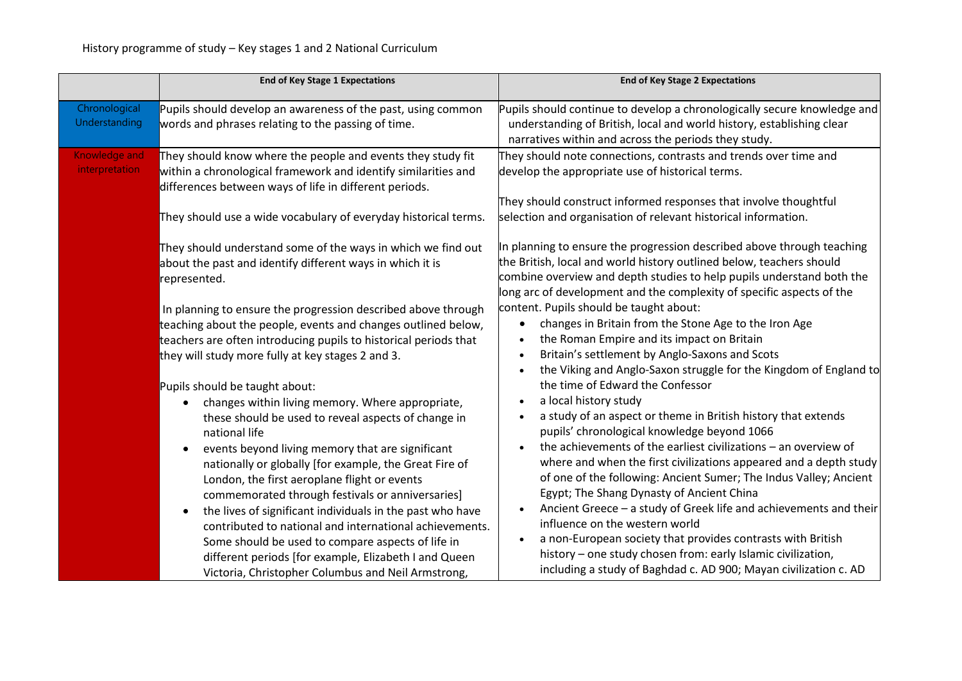|                                 | <b>End of Key Stage 1 Expectations</b>                                                                                                                                                                                                                                                                                                                                                                                                                                                                                                                                                                                                                                                | <b>End of Key Stage 2 Expectations</b>                                                                                                                                                                                                                                                                                                                                                                                                                                                                                                                                                                                                                                                                                                                     |
|---------------------------------|---------------------------------------------------------------------------------------------------------------------------------------------------------------------------------------------------------------------------------------------------------------------------------------------------------------------------------------------------------------------------------------------------------------------------------------------------------------------------------------------------------------------------------------------------------------------------------------------------------------------------------------------------------------------------------------|------------------------------------------------------------------------------------------------------------------------------------------------------------------------------------------------------------------------------------------------------------------------------------------------------------------------------------------------------------------------------------------------------------------------------------------------------------------------------------------------------------------------------------------------------------------------------------------------------------------------------------------------------------------------------------------------------------------------------------------------------------|
| Chronological<br>Understanding  | Pupils should develop an awareness of the past, using common<br>words and phrases relating to the passing of time.                                                                                                                                                                                                                                                                                                                                                                                                                                                                                                                                                                    | Pupils should continue to develop a chronologically secure knowledge and<br>understanding of British, local and world history, establishing clear<br>narratives within and across the periods they study.                                                                                                                                                                                                                                                                                                                                                                                                                                                                                                                                                  |
| Knowledge and<br>interpretation | They should know where the people and events they study fit<br>within a chronological framework and identify similarities and<br>differences between ways of life in different periods.                                                                                                                                                                                                                                                                                                                                                                                                                                                                                               | They should note connections, contrasts and trends over time and<br>develop the appropriate use of historical terms.<br>They should construct informed responses that involve thoughtful                                                                                                                                                                                                                                                                                                                                                                                                                                                                                                                                                                   |
|                                 | They should use a wide vocabulary of everyday historical terms.<br>They should understand some of the ways in which we find out<br>about the past and identify different ways in which it is<br>represented.                                                                                                                                                                                                                                                                                                                                                                                                                                                                          | selection and organisation of relevant historical information.<br>In planning to ensure the progression described above through teaching<br>the British, local and world history outlined below, teachers should<br>combine overview and depth studies to help pupils understand both the<br>long arc of development and the complexity of specific aspects of the                                                                                                                                                                                                                                                                                                                                                                                         |
|                                 | In planning to ensure the progression described above through<br>teaching about the people, events and changes outlined below,<br>teachers are often introducing pupils to historical periods that<br>they will study more fully at key stages 2 and 3.                                                                                                                                                                                                                                                                                                                                                                                                                               | content. Pupils should be taught about:<br>changes in Britain from the Stone Age to the Iron Age<br>the Roman Empire and its impact on Britain<br>Britain's settlement by Anglo-Saxons and Scots<br>the Viking and Anglo-Saxon struggle for the Kingdom of England to                                                                                                                                                                                                                                                                                                                                                                                                                                                                                      |
|                                 | Pupils should be taught about:<br>changes within living memory. Where appropriate,<br>these should be used to reveal aspects of change in<br>national life<br>events beyond living memory that are significant<br>$\bullet$<br>nationally or globally [for example, the Great Fire of<br>London, the first aeroplane flight or events<br>commemorated through festivals or anniversaries]<br>the lives of significant individuals in the past who have<br>contributed to national and international achievements.<br>Some should be used to compare aspects of life in<br>different periods [for example, Elizabeth I and Queen<br>Victoria, Christopher Columbus and Neil Armstrong, | the time of Edward the Confessor<br>a local history study<br>$\bullet$<br>a study of an aspect or theme in British history that extends<br>pupils' chronological knowledge beyond 1066<br>the achievements of the earliest civilizations – an overview of<br>where and when the first civilizations appeared and a depth study<br>of one of the following: Ancient Sumer; The Indus Valley; Ancient<br>Egypt; The Shang Dynasty of Ancient China<br>Ancient Greece - a study of Greek life and achievements and their<br>influence on the western world<br>a non-European society that provides contrasts with British<br>history - one study chosen from: early Islamic civilization,<br>including a study of Baghdad c. AD 900; Mayan civilization c. AD |